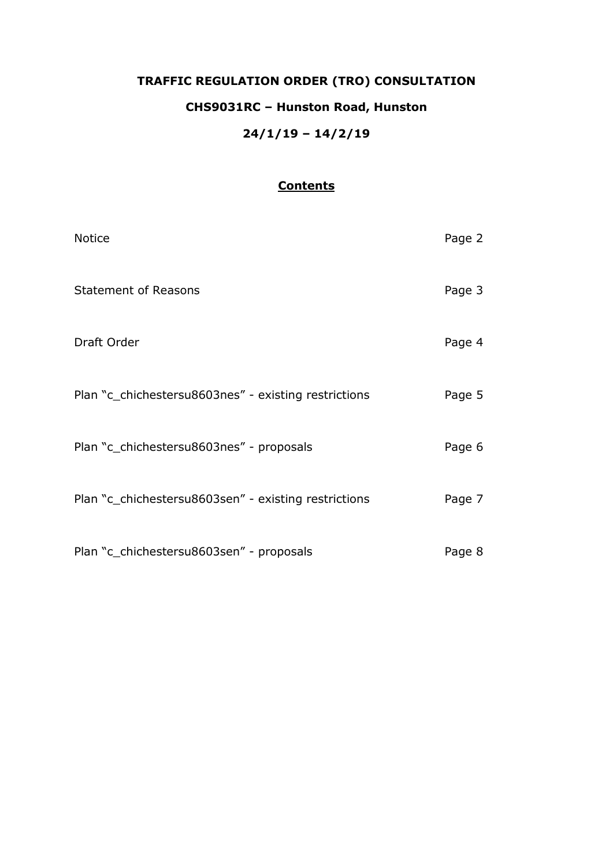# **TRAFFIC REGULATION ORDER (TRO) CONSULTATION CHS9031RC – Hunston Road, Hunston 24/1/19 – 14/2/19**

# **Contents**

| <b>Notice</b>                                        | Page 2 |
|------------------------------------------------------|--------|
| <b>Statement of Reasons</b>                          | Page 3 |
| Draft Order                                          | Page 4 |
| Plan "c_chichestersu8603nes" - existing restrictions | Page 5 |
| Plan "c_chichestersu8603nes" - proposals             | Page 6 |
| Plan "c_chichestersu8603sen" - existing restrictions | Page 7 |
| Plan "c_chichestersu8603sen" - proposals             | Page 8 |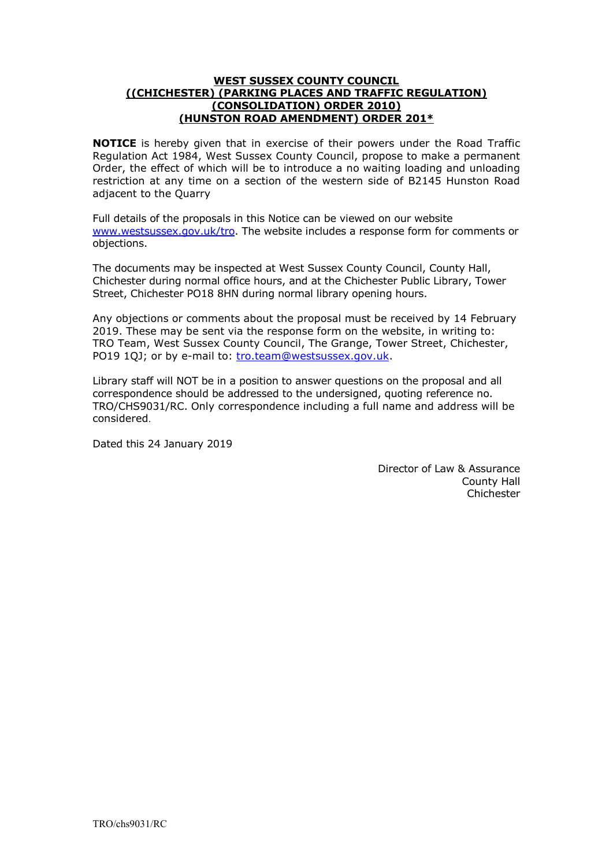#### **WEST SUSSEX COUNTY COUNCIL ((CHICHESTER) (PARKING PLACES AND TRAFFIC REGULATION) (CONSOLIDATION) ORDER 2010) (HUNSTON ROAD AMENDMENT) ORDER 201\***

**NOTICE** is hereby given that in exercise of their powers under the Road Traffic Regulation Act 1984, West Sussex County Council, propose to make a permanent Order, the effect of which will be to introduce a no waiting loading and unloading restriction at any time on a section of the western side of B2145 Hunston Road adjacent to the Quarry

Full details of the proposals in this Notice can be viewed on our website [www.westsussex.gov.uk/tro.](http://www.westsussex.gov.uk/tro) The website includes a response form for comments or objections.

The documents may be inspected at West Sussex County Council, County Hall, Chichester during normal office hours, and at the Chichester Public Library, Tower Street, Chichester PO18 8HN during normal library opening hours.

Any objections or comments about the proposal must be received by 14 February 2019. These may be sent via the response form on the website, in writing to: TRO Team, West Sussex County Council, The Grange, Tower Street, Chichester, PO19 1QJ; or by e-mail to: [tro.team@westsussex.gov.uk.](mailto:tro.team@westsussex.gov.uk)

Library staff will NOT be in a position to answer questions on the proposal and all correspondence should be addressed to the undersigned, quoting reference no. TRO/CHS9031/RC. Only correspondence including a full name and address will be considered.

Dated this 24 January 2019

Director of Law & Assurance County Hall Chichester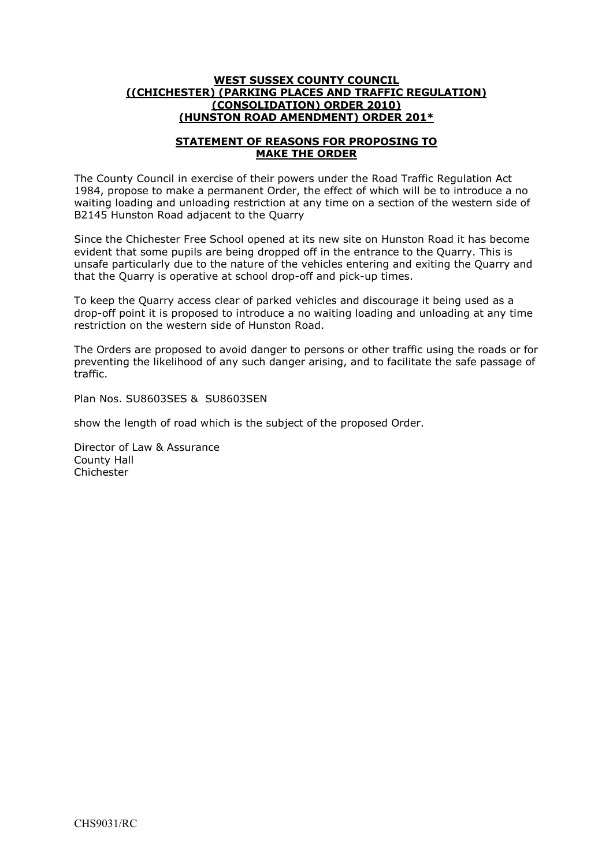#### **WEST SUSSEX COUNTY COUNCIL ((CHICHESTER) (PARKING PLACES AND TRAFFIC REGULATION) (CONSOLIDATION) ORDER 2010) (HUNSTON ROAD AMENDMENT) ORDER 201\***

#### **STATEMENT OF REASONS FOR PROPOSING TO MAKE THE ORDER**

The County Council in exercise of their powers under the Road Traffic Regulation Act 1984, propose to make a permanent Order, the effect of which will be to introduce a no waiting loading and unloading restriction at any time on a section of the western side of B2145 Hunston Road adjacent to the Quarry

Since the Chichester Free School opened at its new site on Hunston Road it has become evident that some pupils are being dropped off in the entrance to the Quarry. This is unsafe particularly due to the nature of the vehicles entering and exiting the Quarry and that the Quarry is operative at school drop-off and pick-up times.

To keep the Quarry access clear of parked vehicles and discourage it being used as a drop-off point it is proposed to introduce a no waiting loading and unloading at any time restriction on the western side of Hunston Road.

The Orders are proposed to avoid danger to persons or other traffic using the roads or for preventing the likelihood of any such danger arising, and to facilitate the safe passage of traffic.

Plan Nos. SU8603SES & SU8603SEN

show the length of road which is the subject of the proposed Order.

Director of Law & Assurance County Hall Chichester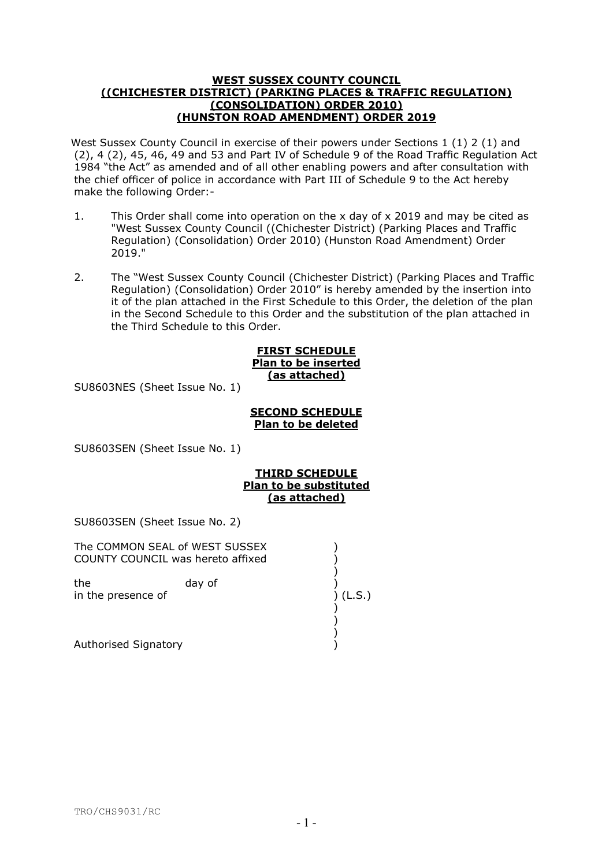#### **WEST SUSSEX COUNTY COUNCIL ((CHICHESTER DISTRICT) (PARKING PLACES & TRAFFIC REGULATION) (CONSOLIDATION) ORDER 2010) (HUNSTON ROAD AMENDMENT) ORDER 2019**

West Sussex County Council in exercise of their powers under Sections 1 (1) 2 (1) and (2), 4 (2), 45, 46, 49 and 53 and Part IV of Schedule 9 of the Road Traffic Regulation Act 1984 "the Act" as amended and of all other enabling powers and after consultation with the chief officer of police in accordance with Part III of Schedule 9 to the Act hereby make the following Order:-

- 1. This Order shall come into operation on the x day of x 2019 and may be cited as "West Sussex County Council ((Chichester District) (Parking Places and Traffic Regulation) (Consolidation) Order 2010) (Hunston Road Amendment) Order 2019."
- 2. The "West Sussex County Council (Chichester District) (Parking Places and Traffic Regulation) (Consolidation) Order 2010" is hereby amended by the insertion into it of the plan attached in the First Schedule to this Order, the deletion of the plan in the Second Schedule to this Order and the substitution of the plan attached in the Third Schedule to this Order.

### **FIRST SCHEDULE Plan to be inserted (as attached)**

SU8603NES (Sheet Issue No. 1)

## **SECOND SCHEDULE Plan to be deleted**

SU8603SEN (Sheet Issue No. 1)

# **THIRD SCHEDULE Plan to be substituted (as attached)**

SU8603SEN (Sheet Issue No. 2)

| The COMMON SEAL of WEST SUSSEX<br>COUNTY COUNCIL was hereto affixed |        |          |
|---------------------------------------------------------------------|--------|----------|
| the<br>in the presence of                                           | day of | ) (L.S.) |
| Authorised Signatory                                                |        |          |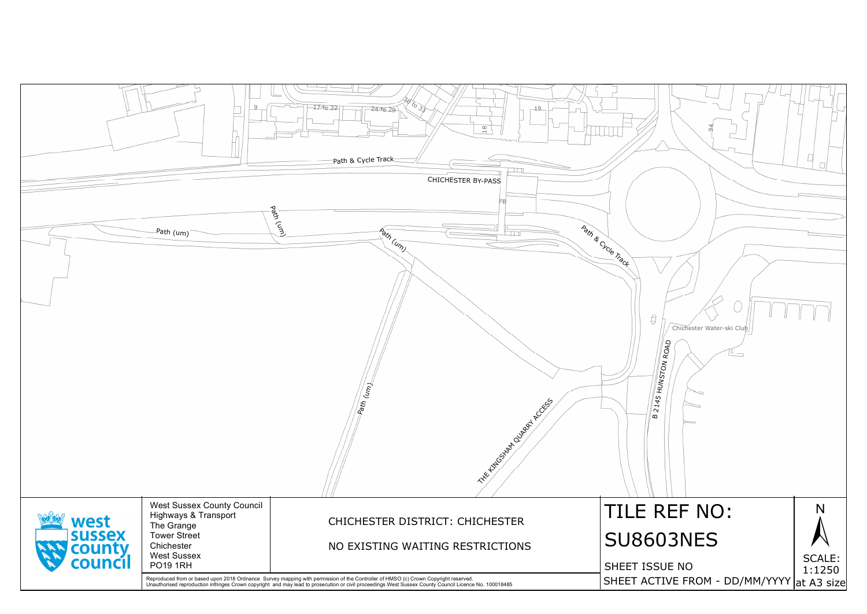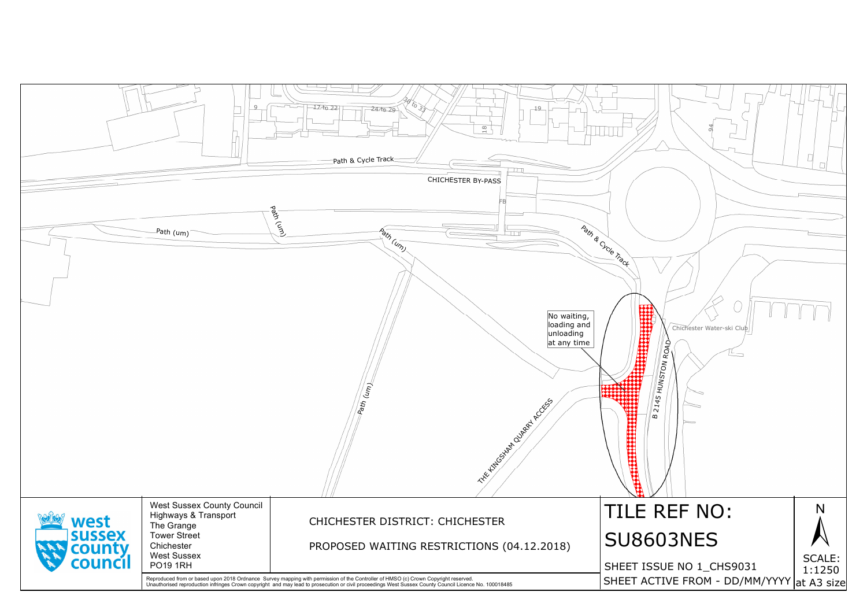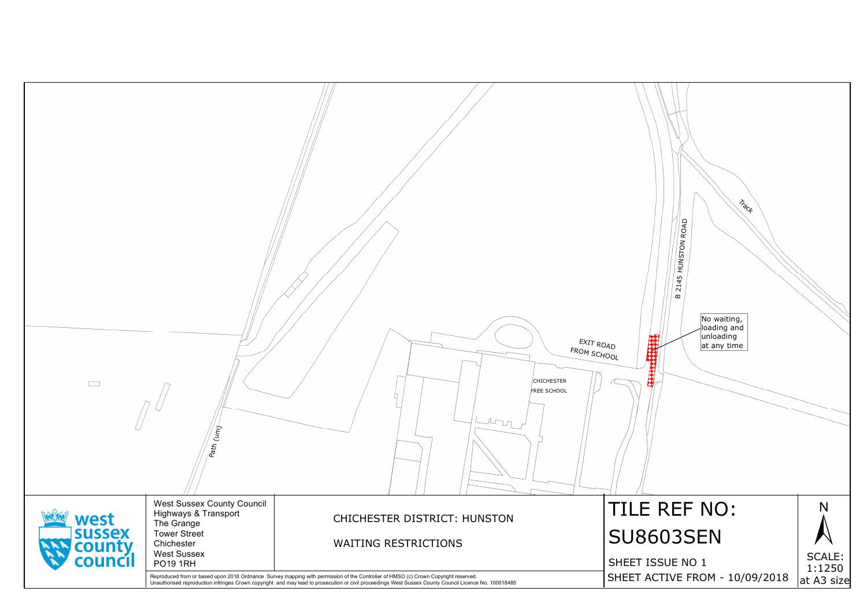